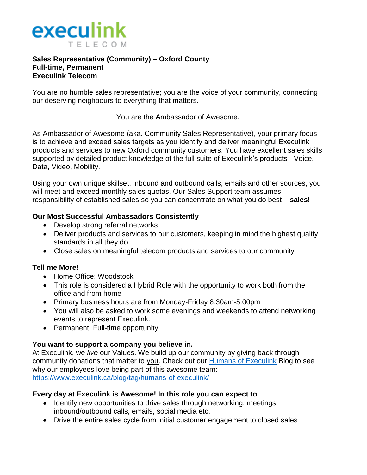

#### **Sales Representative (Community) – Oxford County Full-time, Permanent Execulink Telecom**

You are no humble sales representative; you are the voice of your community, connecting our deserving neighbours to everything that matters.

You are the Ambassador of Awesome.

As Ambassador of Awesome (aka. Community Sales Representative), your primary focus is to achieve and exceed sales targets as you identify and deliver meaningful Execulink products and services to new Oxford community customers. You have excellent sales skills supported by detailed product knowledge of the full suite of Execulink's products - Voice, Data, Video, Mobility.

Using your own unique skillset, inbound and outbound calls, emails and other sources, you will meet and exceed monthly sales quotas. Our Sales Support team assumes responsibility of established sales so you can concentrate on what you do best – **sales**!

### **Our Most Successful Ambassadors Consistently**

- Develop strong referral networks
- Deliver products and services to our customers, keeping in mind the highest quality standards in all they do
- Close sales on meaningful telecom products and services to our community

## **Tell me More!**

- Home Office: Woodstock
- This role is considered a Hybrid Role with the opportunity to work both from the office and from home
- Primary business hours are from Monday-Friday 8:30am-5:00pm
- You will also be asked to work some evenings and weekends to attend networking events to represent Execulink.
- Permanent, Full-time opportunity

## **You want to support a company you believe in.**

At Execulink, we *live* our Values. We build up our community by giving back through community donations that matter to you. Check out our [Humans of Execulink](https://www.execulink.ca/blog/tag/humans-of-execulink/) Blog to see why our employees love being part of this awesome team: <https://www.execulink.ca/blog/tag/humans-of-execulink/>

## **Every day at Execulink is Awesome! In this role you can expect to**

- Identify new opportunities to drive sales through networking, meetings, inbound/outbound calls, emails, social media etc.
- Drive the entire sales cycle from initial customer engagement to closed sales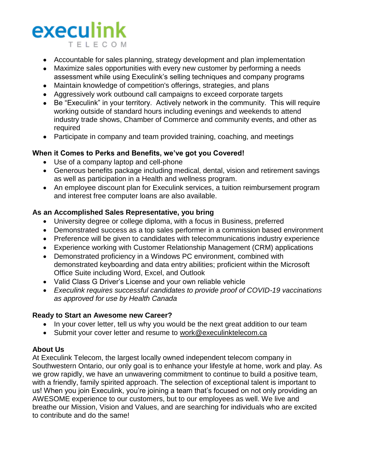# execulink T F I F C O M

- Accountable for sales planning, strategy development and plan implementation
- Maximize sales opportunities with every new customer by performing a needs assessment while using Execulink's selling techniques and company programs
- Maintain knowledge of competition's offerings, strategies, and plans
- Aggressively work outbound call campaigns to exceed corporate targets
- Be "Execulink" in your territory. Actively network in the community. This will require working outside of standard hours including evenings and weekends to attend industry trade shows, Chamber of Commerce and community events, and other as required
- Participate in company and team provided training, coaching, and meetings

## **When it Comes to Perks and Benefits, we've got you Covered!**

- Use of a company laptop and cell-phone
- Generous benefits package including medical, dental, vision and retirement savings as well as participation in a Health and wellness program.
- An employee discount plan for Execulink services, a tuition reimbursement program and interest free computer loans are also available.

### **As an Accomplished Sales Representative, you bring**

- University degree or college diploma, with a focus in Business, preferred
- Demonstrated success as a top sales performer in a commission based environment
- Preference will be given to candidates with telecommunications industry experience
- Experience working with Customer Relationship Management (CRM) applications
- Demonstrated proficiency in a Windows PC environment, combined with demonstrated keyboarding and data entry abilities; proficient within the Microsoft Office Suite including Word, Excel, and Outlook
- Valid Class G Driver's License and your own reliable vehicle
- *Execulink requires successful candidates to provide proof of COVID-19 vaccinations as approved for use by Health Canada*

## **Ready to Start an Awesome new Career?**

- In your cover letter, tell us why you would be the next great addition to our team
- Submit your cover letter and resume to [work@execulinktelecom.ca](mailto:work@execulinktelecom.ca)

## **About Us**

At Execulink Telecom, the largest locally owned independent telecom company in Southwestern Ontario, our only goal is to enhance your lifestyle at home, work and play. As we grow rapidly, we have an unwavering commitment to continue to build a positive team, with a friendly, family spirited approach. The selection of exceptional talent is important to us! When you join Execulink, you're joining a team that's focused on not only providing an AWESOME experience to our customers, but to our employees as well. We live and breathe our Mission, Vision and Values, and are searching for individuals who are excited to contribute and do the same!